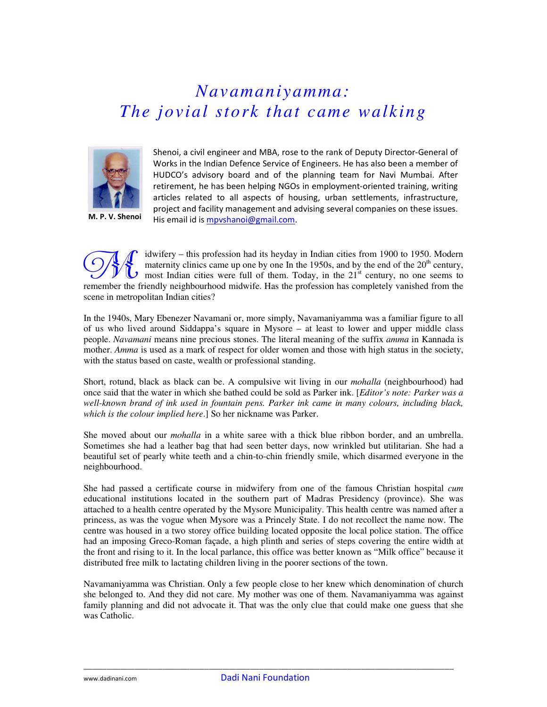## *Navamaniyamma: The jovial stork that came walking*



M. P. V. Shenoi

Shenoi, a civil engineer and MBA, rose to the rank of Deputy Director-General of Works in the Indian Defence Service of Engineers. He has also been a member of HUDCO's advisory board and of the planning team for Navi Mumbai. After retirement, he has been helping NGOs in employment-oriented training, writing articles related to all aspects of housing, urban settlements, infrastructure, project and facility management and advising several companies on these issues. His email id is mpvshanoi@gmail.com.

idwifery – this profession had its heyday in Indian cities from 1900 to 1950. Modern maternity clinics came up one by one In the 1950s, and by the end of the  $20<sup>th</sup>$  century, most Indian cities were full of them. Today, in the  $21<sup>st</sup>$  century, no one seems to remember the friendly neighbourhood midwife. Has the profession has completely vanished from the scene in metropolitan Indian cities? **SAC** 

In the 1940s, Mary Ebenezer Navamani or, more simply, Navamaniyamma was a familiar figure to all of us who lived around Siddappa's square in Mysore – at least to lower and upper middle class people. *Navamani* means nine precious stones. The literal meaning of the suffix *amma* in Kannada is mother. *Amma* is used as a mark of respect for older women and those with high status in the society, with the status based on caste, wealth or professional standing.

Short, rotund, black as black can be. A compulsive wit living in our *mohalla* (neighbourhood) had once said that the water in which she bathed could be sold as Parker ink. [*Editor's note: Parker was a well-known brand of ink used in fountain pens. Parker ink came in many colours, including black, which is the colour implied here*.] So her nickname was Parker.

She moved about our *mohalla* in a white saree with a thick blue ribbon border, and an umbrella. Sometimes she had a leather bag that had seen better days, now wrinkled but utilitarian. She had a beautiful set of pearly white teeth and a chin-to-chin friendly smile, which disarmed everyone in the neighbourhood.

She had passed a certificate course in midwifery from one of the famous Christian hospital *cum* educational institutions located in the southern part of Madras Presidency (province). She was attached to a health centre operated by the Mysore Municipality. This health centre was named after a princess, as was the vogue when Mysore was a Princely State. I do not recollect the name now. The centre was housed in a two storey office building located opposite the local police station. The office had an imposing Greco-Roman façade, a high plinth and series of steps covering the entire width at the front and rising to it. In the local parlance, this office was better known as "Milk office" because it distributed free milk to lactating children living in the poorer sections of the town.

Navamaniyamma was Christian. Only a few people close to her knew which denomination of church she belonged to. And they did not care. My mother was one of them. Navamaniyamma was against family planning and did not advocate it. That was the only clue that could make one guess that she was Catholic.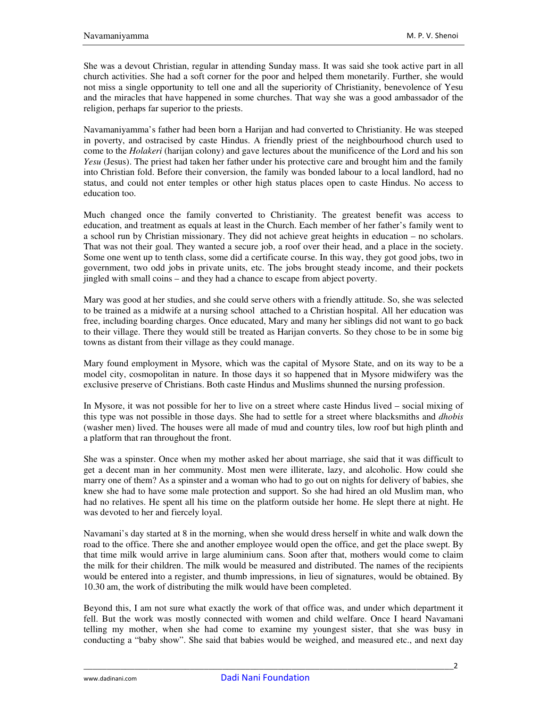She was a devout Christian, regular in attending Sunday mass. It was said she took active part in all church activities. She had a soft corner for the poor and helped them monetarily. Further, she would not miss a single opportunity to tell one and all the superiority of Christianity, benevolence of Yesu and the miracles that have happened in some churches. That way she was a good ambassador of the religion, perhaps far superior to the priests.

Navamaniyamma's father had been born a Harijan and had converted to Christianity. He was steeped in poverty, and ostracised by caste Hindus. A friendly priest of the neighbourhood church used to come to the *Holakeri* (harijan colony) and gave lectures about the munificence of the Lord and his son *Yesu* (Jesus). The priest had taken her father under his protective care and brought him and the family into Christian fold. Before their conversion, the family was bonded labour to a local landlord, had no status, and could not enter temples or other high status places open to caste Hindus. No access to education too.

Much changed once the family converted to Christianity. The greatest benefit was access to education, and treatment as equals at least in the Church. Each member of her father's family went to a school run by Christian missionary. They did not achieve great heights in education – no scholars. That was not their goal. They wanted a secure job, a roof over their head, and a place in the society. Some one went up to tenth class, some did a certificate course. In this way, they got good jobs, two in government, two odd jobs in private units, etc. The jobs brought steady income, and their pockets jingled with small coins – and they had a chance to escape from abject poverty.

Mary was good at her studies, and she could serve others with a friendly attitude. So, she was selected to be trained as a midwife at a nursing school attached to a Christian hospital. All her education was free, including boarding charges. Once educated, Mary and many her siblings did not want to go back to their village. There they would still be treated as Harijan converts. So they chose to be in some big towns as distant from their village as they could manage.

Mary found employment in Mysore, which was the capital of Mysore State, and on its way to be a model city, cosmopolitan in nature. In those days it so happened that in Mysore midwifery was the exclusive preserve of Christians. Both caste Hindus and Muslims shunned the nursing profession.

In Mysore, it was not possible for her to live on a street where caste Hindus lived – social mixing of this type was not possible in those days. She had to settle for a street where blacksmiths and *dhobis* (washer men) lived. The houses were all made of mud and country tiles, low roof but high plinth and a platform that ran throughout the front.

She was a spinster. Once when my mother asked her about marriage, she said that it was difficult to get a decent man in her community. Most men were illiterate, lazy, and alcoholic. How could she marry one of them? As a spinster and a woman who had to go out on nights for delivery of babies, she knew she had to have some male protection and support. So she had hired an old Muslim man, who had no relatives. He spent all his time on the platform outside her home. He slept there at night. He was devoted to her and fiercely loyal.

Navamani's day started at 8 in the morning, when she would dress herself in white and walk down the road to the office. There she and another employee would open the office, and get the place swept. By that time milk would arrive in large aluminium cans. Soon after that, mothers would come to claim the milk for their children. The milk would be measured and distributed. The names of the recipients would be entered into a register, and thumb impressions, in lieu of signatures, would be obtained. By 10.30 am, the work of distributing the milk would have been completed.

Beyond this, I am not sure what exactly the work of that office was, and under which department it fell. But the work was mostly connected with women and child welfare. Once I heard Navamani telling my mother, when she had come to examine my youngest sister, that she was busy in conducting a "baby show". She said that babies would be weighed, and measured etc., and next day

\_\_\_\_\_\_\_\_\_\_\_\_\_\_\_\_\_\_\_\_\_\_\_\_\_\_\_\_\_\_\_\_\_\_\_\_\_\_\_\_\_\_\_\_\_\_\_\_\_\_\_\_\_\_\_\_\_\_\_\_\_\_\_\_\_\_\_\_\_\_\_\_\_\_\_\_\_\_\_\_2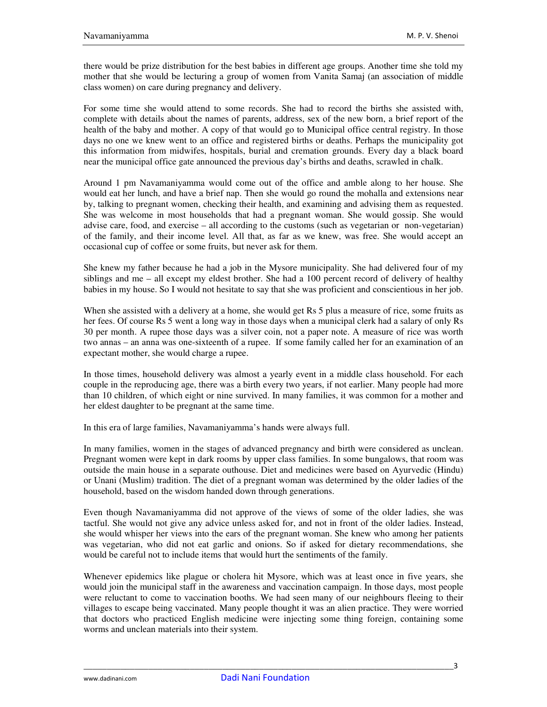there would be prize distribution for the best babies in different age groups. Another time she told my mother that she would be lecturing a group of women from Vanita Samaj (an association of middle class women) on care during pregnancy and delivery.

For some time she would attend to some records. She had to record the births she assisted with, complete with details about the names of parents, address, sex of the new born, a brief report of the health of the baby and mother. A copy of that would go to Municipal office central registry. In those days no one we knew went to an office and registered births or deaths. Perhaps the municipality got this information from midwifes, hospitals, burial and cremation grounds. Every day a black board near the municipal office gate announced the previous day's births and deaths, scrawled in chalk.

Around 1 pm Navamaniyamma would come out of the office and amble along to her house. She would eat her lunch, and have a brief nap. Then she would go round the mohalla and extensions near by, talking to pregnant women, checking their health, and examining and advising them as requested. She was welcome in most households that had a pregnant woman. She would gossip. She would advise care, food, and exercise – all according to the customs (such as vegetarian or non-vegetarian) of the family, and their income level. All that, as far as we knew, was free. She would accept an occasional cup of coffee or some fruits, but never ask for them.

She knew my father because he had a job in the Mysore municipality. She had delivered four of my siblings and me – all except my eldest brother. She had a 100 percent record of delivery of healthy babies in my house. So I would not hesitate to say that she was proficient and conscientious in her job.

When she assisted with a delivery at a home, she would get Rs 5 plus a measure of rice, some fruits as her fees. Of course Rs 5 went a long way in those days when a municipal clerk had a salary of only Rs 30 per month. A rupee those days was a silver coin, not a paper note. A measure of rice was worth two annas – an anna was one-sixteenth of a rupee. If some family called her for an examination of an expectant mother, she would charge a rupee.

In those times, household delivery was almost a yearly event in a middle class household. For each couple in the reproducing age, there was a birth every two years, if not earlier. Many people had more than 10 children, of which eight or nine survived. In many families, it was common for a mother and her eldest daughter to be pregnant at the same time.

In this era of large families, Navamaniyamma's hands were always full.

In many families, women in the stages of advanced pregnancy and birth were considered as unclean. Pregnant women were kept in dark rooms by upper class families. In some bungalows, that room was outside the main house in a separate outhouse. Diet and medicines were based on Ayurvedic (Hindu) or Unani (Muslim) tradition. The diet of a pregnant woman was determined by the older ladies of the household, based on the wisdom handed down through generations.

Even though Navamaniyamma did not approve of the views of some of the older ladies, she was tactful. She would not give any advice unless asked for, and not in front of the older ladies. Instead, she would whisper her views into the ears of the pregnant woman. She knew who among her patients was vegetarian, who did not eat garlic and onions. So if asked for dietary recommendations, she would be careful not to include items that would hurt the sentiments of the family.

Whenever epidemics like plague or cholera hit Mysore, which was at least once in five years, she would join the municipal staff in the awareness and vaccination campaign. In those days, most people were reluctant to come to vaccination booths. We had seen many of our neighbours fleeing to their villages to escape being vaccinated. Many people thought it was an alien practice. They were worried that doctors who practiced English medicine were injecting some thing foreign, containing some worms and unclean materials into their system.

\_\_\_\_\_\_\_\_\_\_\_\_\_\_\_\_\_\_\_\_\_\_\_\_\_\_\_\_\_\_\_\_\_\_\_\_\_\_\_\_\_\_\_\_\_\_\_\_\_\_\_\_\_\_\_\_\_\_\_\_\_\_\_\_\_\_\_\_\_\_\_\_\_\_\_\_\_\_\_\_3